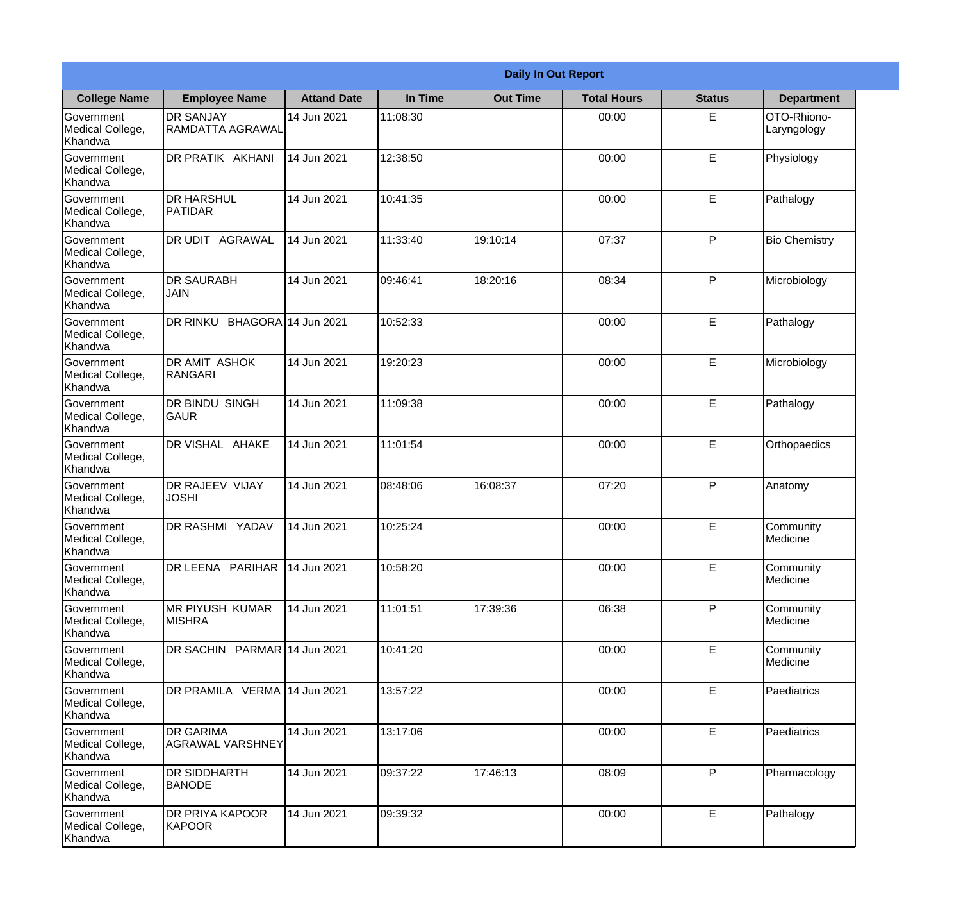|                                                  | <b>Daily In Out Report</b>              |                    |          |                 |                    |               |                            |  |  |
|--------------------------------------------------|-----------------------------------------|--------------------|----------|-----------------|--------------------|---------------|----------------------------|--|--|
| <b>College Name</b>                              | <b>Employee Name</b>                    | <b>Attand Date</b> | In Time  | <b>Out Time</b> | <b>Total Hours</b> | <b>Status</b> | <b>Department</b>          |  |  |
| Government<br>Medical College,<br>Khandwa        | <b>DR SANJAY</b><br>RAMDATTA AGRAWAL    | 14 Jun 2021        | 11:08:30 |                 | 00:00              | E.            | OTO-Rhiono-<br>Laryngology |  |  |
| Government<br>Medical College,<br>Khandwa        | DR PRATIK AKHANI                        | 14 Jun 2021        | 12:38:50 |                 | 00:00              | E             | Physiology                 |  |  |
| <b>Government</b><br>Medical College,<br>Khandwa | <b>I</b> DR HARSHUL<br><b>PATIDAR</b>   | 14 Jun 2021        | 10:41:35 |                 | 00:00              | E             | Pathalogy                  |  |  |
| Government<br>Medical College,<br>Khandwa        | DR UDIT AGRAWAL                         | 14 Jun 2021        | 11:33:40 | 19:10:14        | 07:37              | P             | <b>Bio Chemistry</b>       |  |  |
| Government<br>Medical College,<br>Khandwa        | <b>IDR SAURABH</b><br><b>JAIN</b>       | 14 Jun 2021        | 09:46:41 | 18:20:16        | 08:34              | P             | Microbiology               |  |  |
| Government<br>Medical College,<br>Khandwa        | DR RINKU BHAGORA 14 Jun 2021            |                    | 10:52:33 |                 | 00:00              | E             | Pathalogy                  |  |  |
| Government<br>Medical College,<br>Khandwa        | <b>DR AMIT ASHOK</b><br><b>RANGARI</b>  | 14 Jun 2021        | 19:20:23 |                 | 00:00              | E             | Microbiology               |  |  |
| Government<br>Medical College,<br>Khandwa        | <b>DR BINDU SINGH</b><br><b>GAUR</b>    | 14 Jun 2021        | 11:09:38 |                 | 00:00              | E             | Pathalogy                  |  |  |
| Government<br>Medical College,<br>Khandwa        | <b>DR VISHAL AHAKE</b>                  | 14 Jun 2021        | 11:01:54 |                 | 00:00              | E             | Orthopaedics               |  |  |
| Government<br>Medical College,<br>Khandwa        | <b>DR RAJEEV VIJAY</b><br><b>JOSHI</b>  | 14 Jun 2021        | 08:48:06 | 16:08:37        | 07:20              | P             | Anatomy                    |  |  |
| Government<br>Medical College,<br>Khandwa        | <b>IDR RASHMI YADAV</b>                 | 14 Jun 2021        | 10:25:24 |                 | 00:00              | E             | Community<br>Medicine      |  |  |
| Government<br>Medical College,<br>Khandwa        | DR LEENA PARIHAR                        | 14 Jun 2021        | 10:58:20 |                 | 00:00              | E             | Community<br>Medicine      |  |  |
| Government<br>Medical College,<br>Khandwa        | <b>MR PIYUSH KUMAR</b><br><b>MISHRA</b> | 14 Jun 2021        | 11:01:51 | 17:39:36        | 06:38              | P             | Community<br>Medicine      |  |  |
| Government<br>Medical College,<br>Khandwa        | DR SACHIN PARMAR 14 Jun 2021            |                    | 10:41:20 |                 | 00:00              | E             | Community<br>Medicine      |  |  |
| Government<br>Medical College,<br>Khandwa        | DR PRAMILA VERMA 14 Jun 2021            |                    | 13:57:22 |                 | 00:00              | E             | Paediatrics                |  |  |
| Government<br>Medical College,<br>Khandwa        | <b>DR GARIMA</b><br>AGRAWAL VARSHNEY    | 14 Jun 2021        | 13:17:06 |                 | 00:00              | $\mathsf E$   | Paediatrics                |  |  |
| Government<br>Medical College,<br>Khandwa        | <b>DR SIDDHARTH</b><br><b>BANODE</b>    | 14 Jun 2021        | 09:37:22 | 17:46:13        | 08:09              | P             | Pharmacology               |  |  |
| Government<br>Medical College,<br>Khandwa        | <b>DR PRIYA KAPOOR</b><br>KAPOOR        | 14 Jun 2021        | 09:39:32 |                 | 00:00              | E             | Pathalogy                  |  |  |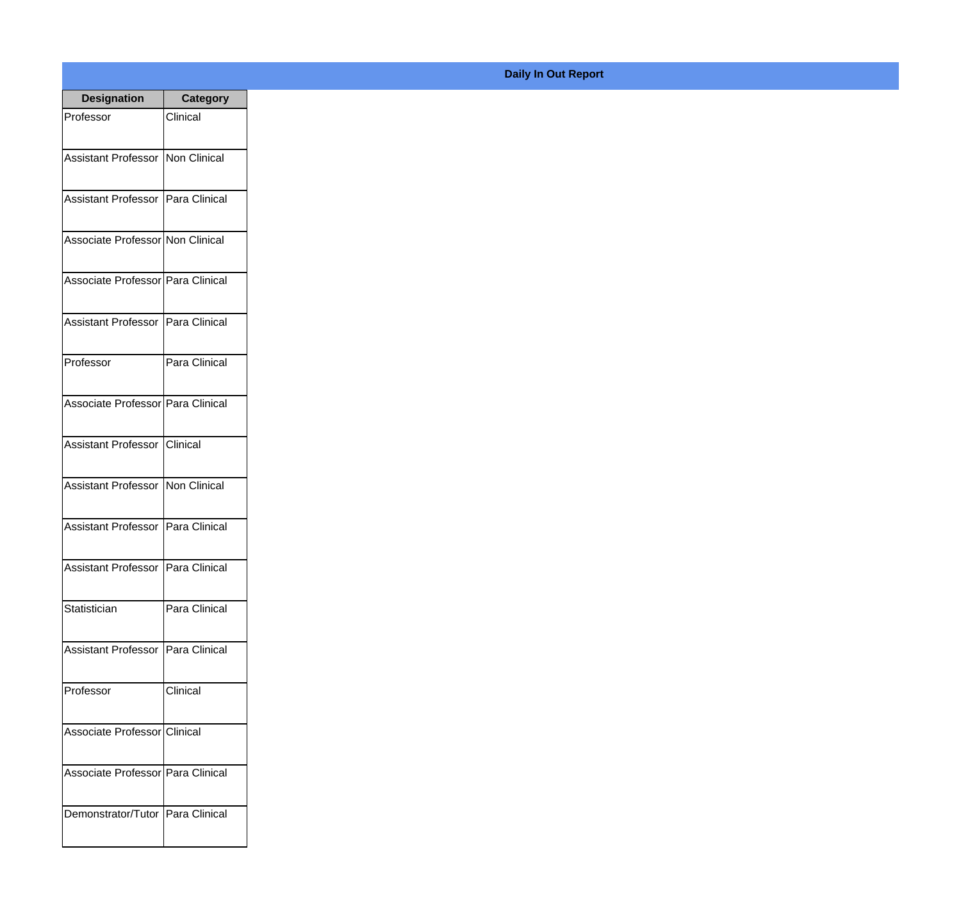| <b>Designation</b>                  | <b>Category</b> |
|-------------------------------------|-----------------|
| Professor                           | Clinical        |
| Assistant Professor   Non Clinical  |                 |
|                                     |                 |
| Assistant Professor Para Clinical   |                 |
|                                     |                 |
| Associate Professor Non Clinical    |                 |
| Associate Professor Para Clinical   |                 |
|                                     |                 |
| Assistant Professor Para Clinical   |                 |
|                                     |                 |
| Professor                           | Para Clinical   |
|                                     |                 |
| Associate Professor Para Clinical   |                 |
| Assistant Professor                 | Clinical        |
|                                     |                 |
| Assistant Professor Non Clinical    |                 |
| Assistant Professor Para Clinical   |                 |
|                                     |                 |
| Assistant Professor   Para Clinical |                 |
|                                     |                 |
| Statistician                        | Para Clinical   |
| Assistant Professor Para Clinical   |                 |
|                                     |                 |
| Professor                           | Clinical        |
|                                     |                 |
| Associate Professor Clinical        |                 |
| Associate Professor Para Clinical   |                 |
|                                     |                 |
| Demonstrator/Tutor Para Clinical    |                 |
|                                     |                 |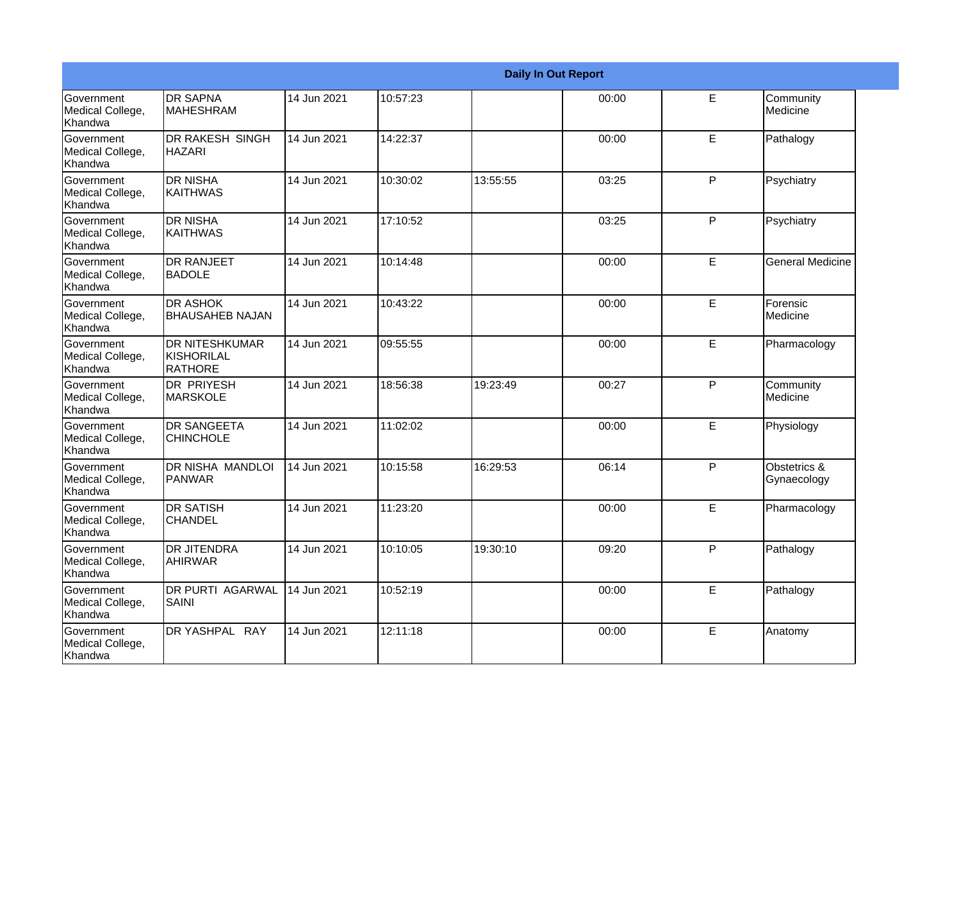|                                                  |                                                 |             |          |          | <b>Daily In Out Report</b> |   |                             |
|--------------------------------------------------|-------------------------------------------------|-------------|----------|----------|----------------------------|---|-----------------------------|
| Government<br>Medical College,<br>Khandwa        | <b>DR SAPNA</b><br><b>MAHESHRAM</b>             | 14 Jun 2021 | 10:57:23 |          | 00:00                      | E | Community<br>Medicine       |
| <b>Government</b><br>Medical College,<br>Khandwa | <b>DR RAKESH SINGH</b><br><b>HAZARI</b>         | 14 Jun 2021 | 14:22:37 |          | 00:00                      | E | Pathalogy                   |
| Government<br>Medical College,<br>Khandwa        | <b>DR NISHA</b><br><b>KAITHWAS</b>              | 14 Jun 2021 | 10:30:02 | 13:55:55 | 03:25                      | P | Psychiatry                  |
| Government<br>Medical College,<br>Khandwa        | <b>DR NISHA</b><br><b>KAITHWAS</b>              | 14 Jun 2021 | 17:10:52 |          | 03:25                      | P | Psychiatry                  |
| Government<br>Medical College,<br>Khandwa        | <b>DR RANJEET</b><br><b>BADOLE</b>              | 14 Jun 2021 | 10:14:48 |          | 00:00                      | E | <b>General Medicine</b>     |
| Government<br>Medical College,<br>Khandwa        | <b>DR ASHOK</b><br><b>BHAUSAHEB NAJAN</b>       | 14 Jun 2021 | 10:43:22 |          | 00:00                      | E | Forensic<br>Medicine        |
| <b>Government</b><br>Medical College,<br>Khandwa | <b>DR NITESHKUMAR</b><br>KISHORILAL<br>IRATHORE | 14 Jun 2021 | 09:55:55 |          | 00:00                      | E | Pharmacology                |
| Government<br>Medical College,<br>Khandwa        | <b>DR PRIYESH</b><br><b>MARSKOLE</b>            | 14 Jun 2021 | 18:56:38 | 19:23:49 | 00:27                      | P | Community<br>Medicine       |
| Government<br>Medical College,<br>Khandwa        | <b>DR SANGEETA</b><br><b>CHINCHOLE</b>          | 14 Jun 2021 | 11:02:02 |          | 00:00                      | E | Physiology                  |
| <b>Government</b><br>Medical College,<br>Khandwa | <b>DR NISHA MANDLOI</b><br><b>PANWAR</b>        | 14 Jun 2021 | 10:15:58 | 16:29:53 | 06:14                      | P | Obstetrics &<br>Gynaecology |
| Government<br>Medical College,<br>Khandwa        | <b>DR SATISH</b><br><b>CHANDEL</b>              | 14 Jun 2021 | 11:23:20 |          | 00:00                      | E | Pharmacology                |
| Government<br>Medical College,<br>Khandwa        | <b>DR JITENDRA</b><br><b>AHIRWAR</b>            | 14 Jun 2021 | 10:10:05 | 19:30:10 | 09:20                      | P | Pathalogy                   |
| Government<br>Medical College,<br>Khandwa        | <b>DR PURTI AGARWAL</b><br><b>SAINI</b>         | 14 Jun 2021 | 10:52:19 |          | 00:00                      | E | Pathalogy                   |
| Government<br>Medical College,<br>Khandwa        | DR YASHPAL RAY                                  | 14 Jun 2021 | 12:11:18 |          | 00:00                      | E | Anatomy                     |